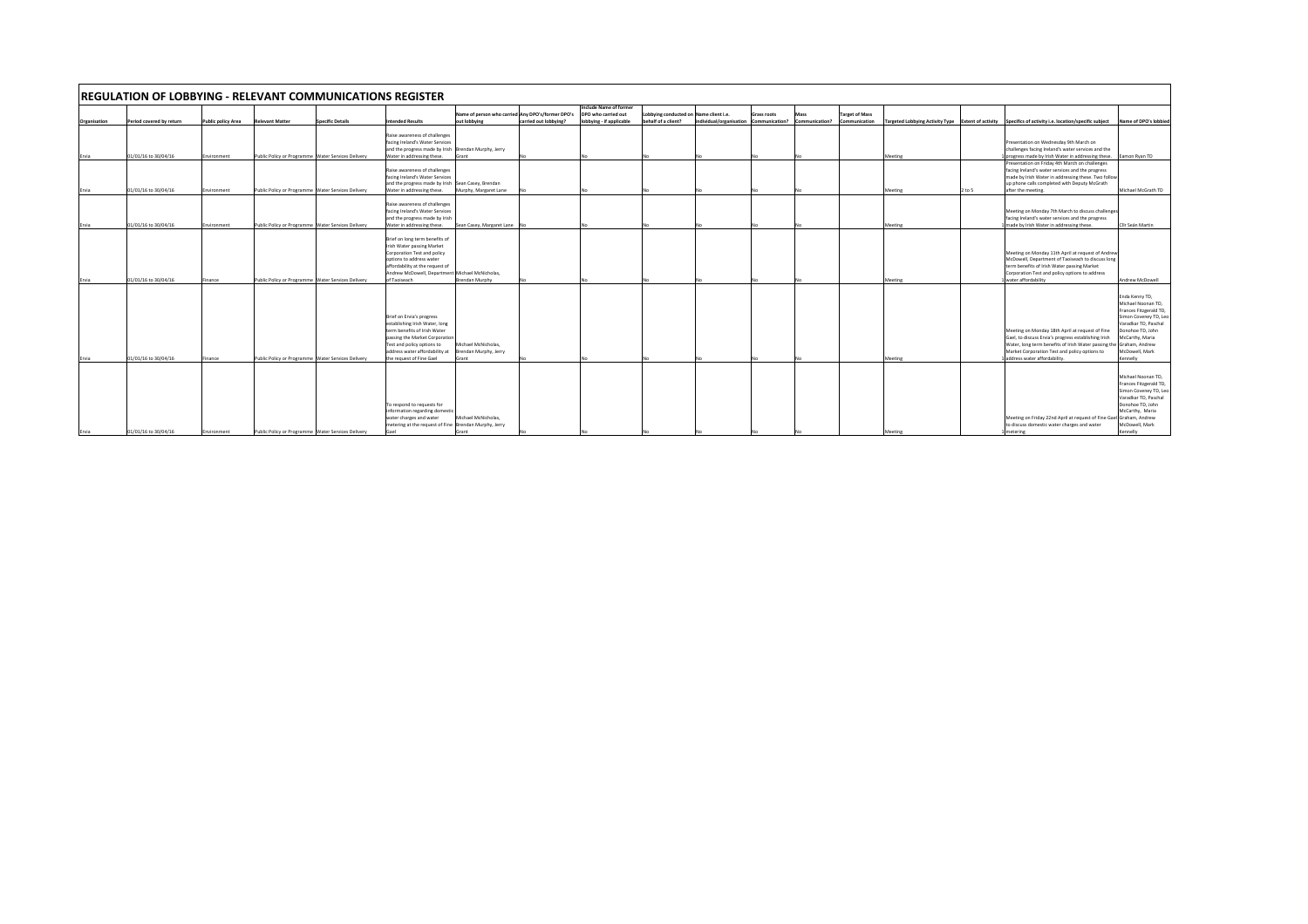| <b>IREGULATION OF LOBBYING - RELEVANT COMMUNICATIONS REGISTER</b> |                                              |                           |                                                                                                          |                         |                                                                                                                                                                                                                                           |                                                                                |                       |                                                                           |                                                               |                         |                                      |                        |                                        |                    |      |                                                                                                                                                                                                                                                                                        |                                                                                                                                                                                                        |
|-------------------------------------------------------------------|----------------------------------------------|---------------------------|----------------------------------------------------------------------------------------------------------|-------------------------|-------------------------------------------------------------------------------------------------------------------------------------------------------------------------------------------------------------------------------------------|--------------------------------------------------------------------------------|-----------------------|---------------------------------------------------------------------------|---------------------------------------------------------------|-------------------------|--------------------------------------|------------------------|----------------------------------------|--------------------|------|----------------------------------------------------------------------------------------------------------------------------------------------------------------------------------------------------------------------------------------------------------------------------------------|--------------------------------------------------------------------------------------------------------------------------------------------------------------------------------------------------------|
| Organisation                                                      | Period covered by return                     | <b>Public policy Area</b> | <b>Relevant Matter</b>                                                                                   | <b>Specific Details</b> | ntended Results                                                                                                                                                                                                                           | Name of person who carried Any DPO's/former DPO's<br>out lobbying              | carried out lobbving? | Include Name of former<br>DPO who carried out<br>lobbying - if applicable | Lobbying conducted on Name client i.e.<br>behalf of a client? | individual/organisation | <b>Grass roots</b><br>Communication? | Mass<br>Communication? | <b>Target of Mass</b><br>Communication |                    |      | Targeted Lobbying Activity Type Extent of activity Specifics of activity i.e. location/specific subject                                                                                                                                                                                | Name of DPO's lobbied                                                                                                                                                                                  |
| Ervia                                                             | 01/01/16 to 30/04/16                         | Environment               | Public Policy or Programme Water Services Delivery                                                       |                         | Raise awareness of challenges<br>facing Ireland's Water Services<br>and the progress made by Irish Brendan Murphy, Jerry<br>Water in addressing these.                                                                                    | Grant                                                                          |                       |                                                                           |                                                               |                         |                                      |                        |                                        | Meeting            |      | Presentation on Wednesday 9th March on<br>challenges facing Ireland's water services and the<br>progress made by Irish Water in addressing these.                                                                                                                                      | Eamon Ryan TD                                                                                                                                                                                          |
| Ervia                                                             | 01/01/16 to 30/04/16                         | Environment               | Public Policy or Programme Water Services Delivery                                                       |                         | Raise awareness of challenges<br>facing Ireland's Water Services<br>and the progress made by Irish Sean Casey, Brendan<br>Water in addressing these.                                                                                      | Murphy, Margaret Lane                                                          |                       |                                                                           |                                                               |                         |                                      |                        |                                        | Meeting            | to 5 | Presentation on Friday 4th March on challenges<br>facing Ireland's water services and the progress<br>made by Irish Water in addressing these. Two follow<br>up phone calls completed with Deputy McGrath<br>after the meeting.                                                        | Michael McGrath TD                                                                                                                                                                                     |
| Ervia                                                             | 01/01/16 to 30/04/16                         | invironment               | Public Policy or Programme Water Services Delivery                                                       |                         | Raise awareness of challenges<br>facing Ireland's Water Services<br>and the progress made by Irish<br>Water in addressing these.                                                                                                          | Sean Casey, Margaret Lane                                                      |                       |                                                                           |                                                               |                         |                                      |                        |                                        | Meeting            |      | Meeting on Monday 7th March to discuss challenge<br>facing Ireland's water services and the progress<br>made by Irish Water in addressing these.                                                                                                                                       | Cllr Seán Martin                                                                                                                                                                                       |
|                                                                   |                                              |                           |                                                                                                          |                         | Brief on long term benefits of<br>Irish Water passing Market<br>Corporation Test and policy<br>options to address water<br>affordability at the request of<br>Andrew McDowell, Department Michael McNicholas,                             |                                                                                |                       |                                                                           |                                                               |                         |                                      |                        |                                        |                    |      | Meeting on Monday 11th April at request of Andrew<br>McDowell, Department of Taoiseach to discuss long<br>term benefits of Irish Water passing Market<br>Corporation Test and policy options to address                                                                                |                                                                                                                                                                                                        |
| Ervia<br>Ervia                                                    | 01/01/16 to 30/04/16<br>01/01/16 to 30/04/16 | inance<br>inance          | Public Policy or Programme Water Services Delivery<br>Public Policy or Programme Water Services Delivery |                         | of Taoiseach<br>Brief on Ervia's progress<br>establishing Irish Water, long<br>term benefits of Irish Water<br>passing the Market Corporation<br>Test and policy options to<br>address water affordability at<br>the request of Fine Gael | <b>Brendan Murphy</b><br>Michael McNicholas.<br>Brendan Murphy, Jerry<br>Grant |                       |                                                                           |                                                               |                         |                                      |                        |                                        | Meeting<br>Meeting |      | water affordability<br>Meeting on Monday 18th April at request of Fine<br>Gael, to discuss Ervia's progress establishing Irish<br>Water, long term benefits of Irish Water passing the Graham, Andrew<br>Market Corporation Test and policy options to<br>address water affordability. | Andrew McDowell<br>Enda Kenny TD.<br>Michael Noonan TD.<br>Frances Fitzgerald TD<br>Simon Coveney TD, Leo<br>Varadkar TD, Paschal<br>Donohoe TD, John<br>McCarthy, Maria<br>McDowell, Mark<br>Kennelly |
| Ervia                                                             | 01/01/16 to 30/04/16                         | Environment               | Public Policy or Programme Water Services Delivery                                                       |                         | To respond to requests for<br>information regarding domestic<br>water charges and water<br>metering at the request of Fine Brendan Murphy, Jerry                                                                                          | Michael McNicholas.<br>Grant                                                   |                       |                                                                           |                                                               |                         |                                      |                        |                                        | Meeting            |      | Meeting on Friday 22nd April at request of Fine Gael<br>to discuss domestic water charges and water<br>metering                                                                                                                                                                        | Michael Noonan TD.<br>Frances Fitzgerald TD,<br>Simon Coveney TD, Leo<br>Varadkar TD, Paschal<br>Donohoe TD, John<br>McCarthy, Maria<br>Graham, Andrew<br>McDowell, Mark<br>Kennelly                   |